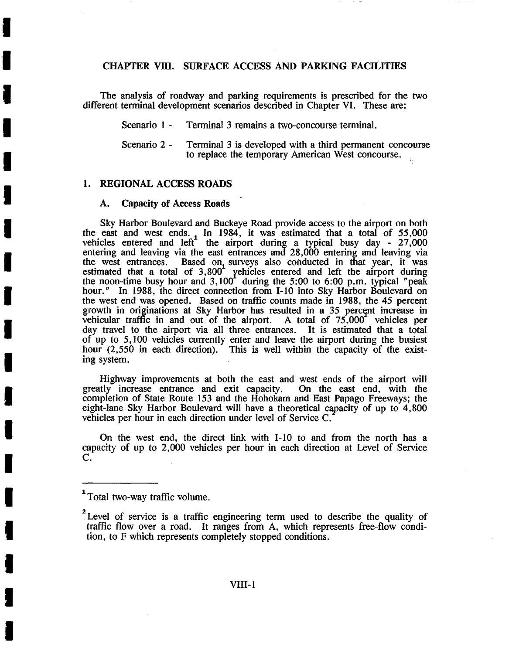# CHAPTER VIII. SURFACE ACCESS AND PARKING FACILITIES

The analysis of roadway and parking requirements is prescribed for the two different terminal development scenarios described in Chapter VI. These are:

Scenario 1 - Terminal 3 remains a two-concourse terminal.

Scenario 2 - Terminal 3 is developed with a third permanent concourse to replace the temporary American West concourse. K

### 1. REGIONAL ACCESS ROADS

**I** 

**i** 

**I** 

**!** 

**I** 

**I** 

**I** 

**I** 

**I** 

**i** 

**I** 

**I** 

**I** 

**I** 

**I** 

**I** 

**I** 

**!** 

### **A. Capacity of Access Roads**

Sky Harbor Boulevard and Buckeye Road provide access to the airport on both the east and west ends. In 1984, it was estimated that a total of  $55,000$ vehicles entered and left the airport during a typical busy day  $-27,000$ entering and leaving via the east entrances and 28,000 entering and leaving via the west entrances. Based on surveys also conducted in that year, it was estimated that a total of 3,800 yehicles entered and left the airport during the noon-time busy hour and 3,100 during the 5:00 to 6:00 p.m. typical "peak hour." In 1988, the direct connection from I-10 into Sky Harbor Boulevard on the west end was opened. Based on traffic counts made in 1988, the 45 percent growth in originations at Sky Harbor has resulted in a 35 percent increase in vehicular traffic in and out of the airport. A total of 75,000 vehicles per vehicular traffic in and out of the airport. day travel to the airport via all three entrances. It is estimated that a total of up to 5,100 vehicles currently enter and leave the airport during the busiest hour (2,550 in each direction). This is well within the capacity of the existing system.

Highway improvements at both the east and west ends of the airport will<br>tly increase entrance and exit capacity. On the east end, with the greatly increase entrance and exit capacity. completion of State Route 153 and the Hohokam and East Papago Freeways; the eight-lane Sky Harbor Boulevard will have a theoretical capacity of up to 4,800 vehicles per hour in each direction under level of Service C.

On the west end, the direct link with 1-10 to and from the north has a capacity of up to 2,000 vehicles per hour in each direction at Level of Service C.

<sup>1</sup>Total two-way traffic volume.

<sup>&</sup>lt;sup>2</sup> Level of service is a traffic engineering term used to describe the quality of traffic flow over a road. It ranges from A, which represents free-flow condition, to F which represents completely stopped conditions.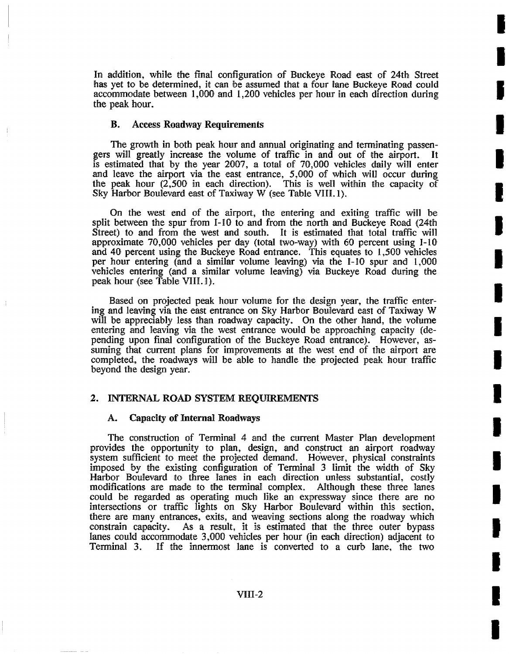In addition, while the final configuration of Buckeye Road east of 24th Street has yet to be determined, it can be assumed that a four lane Buckeye Road could accommodate between 1,000, and 1,200 vehicles per hour in each direction during the peak hour.

**I** 

**I** 

I

**I** 

**I** 

**I** 

**I** 

**I** 

**I** 

**I** 

l

**I** 

**I** 

**I** 

**I** 

**I** 

**I** 

**I** 

**!** 

## **B. Access Roadway Requirements**

The growth in both peak hour and annual originating and terminating passengers will greatly increase the volume of traffic in and out of the airport. is estimated that by the year 2007, a total of 70,000 vehicles dally will enter and leave the airport via the east entrance, 5,000 of which will occur during the peak hour (2,500 in each direction). This is well within the capacity of Sky Harbor Boulevard east of Taxiway W (see Table VIII.1).

On the west end of the airport, the entering and exiting traffic will be split between the spur from 1-10 to and from the north and Buckeye Road (24th Street) to and from the west and south. It is estimated that total traffic will approximate 70,000 vehicles per day (total two-way) with 60 percent using 1-10 and 40, percent using the Buckeye Road entrance. This equates to 1,500 vehicles per hour entering (and a similar volume leaving) via the 1-10 spur and 1,000 vehicles entering (and a similar volume leaving) via Buckeye Road during the peak hour (see Table VIII. 1).

Based on projected peak hour volume for the design year, the traffic entering and leaving via the east entrance on Sky Harbor Boulevard east of Taxiway W will be appreciably less than roadway capacity. On the other hand, the volume entering and leaving via the west entrance would be approaching capacity (depending upon final configuration of the Buckeye Road entrance). However, assuming that current plans for improvements at the west end of the airport are completed, the roadways will be able to handle the projected peak hour traffic beyond the design year.

### 2. INTERNAL ROAD SYSTEM REQUIREMENTS

### **A. Capacity of Internal Roadways**

The construction of Terminal 4 and the current Master Plan development provides the opportunity to plan, design, and construct an airport roadway system sufficient to meet the projected demand. However, physical constraints imposed by the existing configuration of Terminal 3 limit the width of Sky Harbor Boulevard to. three lanes in each direction unless substantial, costly modifications are made to the terminal complex. Although these three lanes could be regarded as operating much like an expressway since there are no intersections or traffic lights on Sky Harbor Boulevard within this section, there are many entrances, exits, and weaving sections along the roadway which constrain capacity. As a result, it is estimated that the three outer bypass As a result, it is estimated that the three outer bypass lanes could accommodate 3,000 vehicles per hour (in each direction) adjacent to Terminal 3. If the innermost lane is converted to a curb lane, the two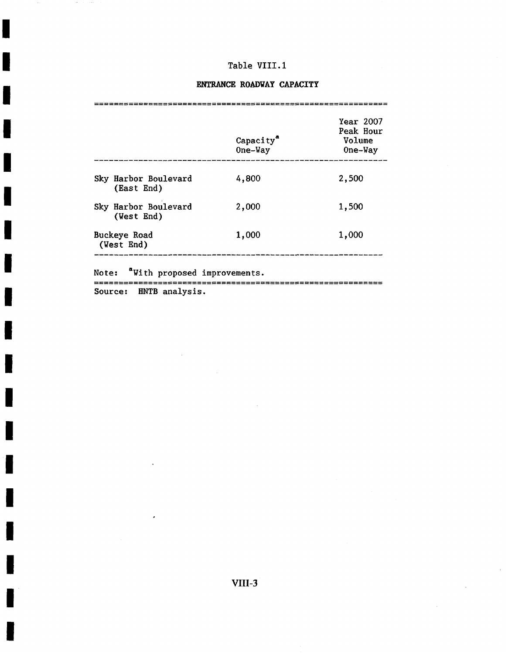**I** 

**!** 

**I** 

**I** 

**I** 

**i** 

**!** 

**I** 

**!** 

**I** 

**!** 

**I** 

**I** 

**!** 

**I** 

**I** 

**!** 

# **ENTRANCE ROADWAY CAPACITY**

|                                       | Capacity <sup>"</sup><br>One-Way | <b>Year 2007</b><br>Peak Hour<br>Volume<br>One-Way |  |
|---------------------------------------|----------------------------------|----------------------------------------------------|--|
| Sky Harbor Boulevard<br>(East End)    | 4,800                            | 2,500                                              |  |
| Sky Harbor Boulevard<br>(West End)    | 2,000                            | 1,500                                              |  |
| Buckeye Road<br>(West End)            | 1,000                            | 1,000                                              |  |
| "With proposed improvements.<br>Note: |                                  |                                                    |  |
| HNTB analysis.<br>Source:             |                                  |                                                    |  |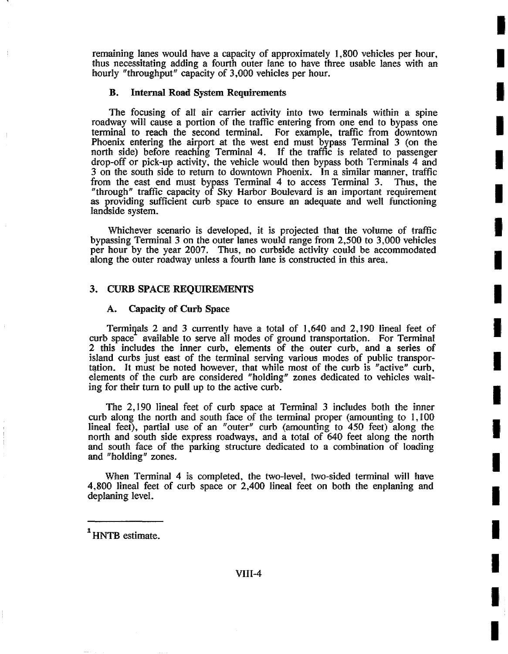remaining lanes would have a capacity of approximately 1,800 vehicles per hour, thus necessitating adding a fourth outer lane to have three usable lanes with an hourly "throughput" capacity of 3,000 vehicles per hour.

**I** 

**I** 

**is,** 

**I** 

**!** 

**I** 

**!** 

**I** 

**I** 

**i** 

**I** 

**I** 

**!** 

**!** 

**I** 

**I** 

!,

**!** 

**I** 

### B. Internal Road System Requirements

The focusing of all air carrier activity into two terminals within a spine roadway will cause a portion of the traffic entering from one end to bypass one terminal to reach the second terminal. For example, traffic from downtown Phoenix entering the airport at the west end must bypass Terminal 3 (on the north side) before reaching Terminal 4. If the traffic is related to passenger drop-off or pick-up activity, the vehicle would then bypass both Terminals 4 and 3 on the south side to return to downtown Phoenix. In a similar manner, traffic from the east end must bypass Terminal 4 to access Terminal 3. Thus, the "through" traffic capacity of Sky Harbor Boulevard is an important requirement as providing sufficient curb space to ensure an adequate and well functioning landside system.

Whichever scenario is developed, it is projected that the volume of traffic bypassing Terminal 3 on the outer lanes would range from 2,500 to 3,000 vehicles per hour by the year 2007. Thus, no curbside activity could be accommodated along the outer roadway unless a fourth lane is constructed in this area.

### 3. CURB SPACE REQUIREMENTS

## **A. Capacity of Curb Space**

Terminals 2 and 3 currently have a total of  $1,640$  and  $2,190$  lineal feet of curb space<sup>+</sup> available to serve all modes of ground transportation. For Terminal 2 this includes the inner curb, elements of the outer curb, and. a series of island curbs just east of the terminal serving various modes of public transportation. It must be noted however, that while most of the curb is "active" curb, elements of the curb are considered "holding" zones dedicated to vehicles waiting for their turn to pull up to the active curb.

The 2,190 lineal feet of curb space at Terminal 3 includes both the inner curb along the north and south face of the terminal proper (amounting to 1,100 lineal feet), partial use of an "outer" curb (amounting to  $450$  feet) along the north and south side express roadways, and a total of 640 feet along the north and south face of the parking structure dedicated to a combination of loading and "holding" zones.

When Terminal 4 is completed, the two-level, two-sided terminal will have 4,800 lineal feet of curb space or 2,400 lineal feet on both the enplaning and deplaning level.

<sup>1</sup> HNTB estimate.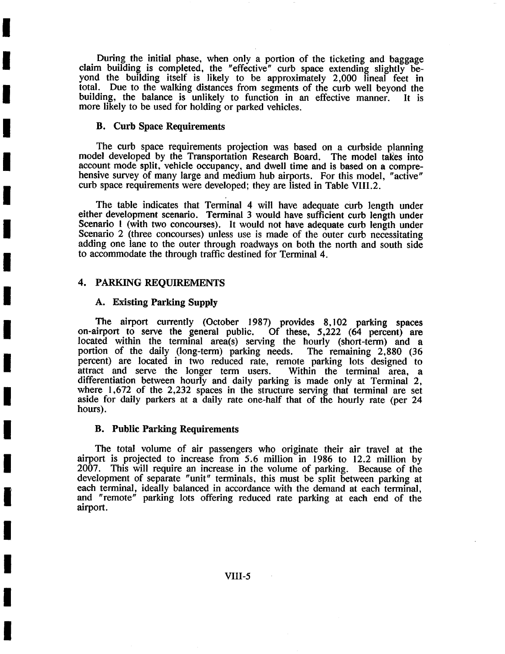During the initial phase, when only a portion of the ticketing and baggage claim building is completed, the "effective" curb space extending slightly beyond the building itself is likely to be approximately 2,000 lineal feet in total. Due to the walking distances from segments of the curb well beyond the building, the balance is unlikely to function in an effective manner. It is more likely to be used for holding or parked vehicles.

### **B. Curb Space Requirements**

**I** 

**I** 

**I** 

**I** 

**I** 

**i** 

**i** 

**I** 

**I** 

**I** 

**I** 

**I** 

**I** 

**!** 

**I** 

**!** 

**I** 

**!** 

The curb space requirements projection was based on a curbside planning model developed by the Transportation Research Board. The model takes into account mode split, vehicle occupancy, and dwell time and is based on a comprehensive survey of many large and medium hub airports. For this model, "active" curb space requirements were developed; they are listed in Table VIII.2.

The table indicates that Terminal 4 will have adequate curb length under either development scenario. Terminal 3 would have sufficient curb length under Scenario 1 (with two concourses). It would not have adequate curb length under Scenario 2 (three concourses) unless use is made of the outer curb necessitating adding one lane to the outer through roadways on both the north and south side to accommodate the through traffic destined for Terminal 4.

## 4. PARKING REQUIREMENTS

## **A. Existing Parking Supply**

The airport currently (October 1987) provides 8,102 parking spaces<br>on-airport to serve the general public. Of these, 5,222 (64 percent) are Of these,  $5,222$  (64 percent) are located within the terminal area(s) serving the hourly (short-term) and a portion of the daily (long-term) parking needs. The remaining 2,880 (36 percent) are located in two reduced rate, remote parking lots designed to attract and serve the longer term users. Within the terminal area, a attract and serve the longer term users. differentiation between hourly and daily parking is made only at Terminal 2, where 1,672 of the 2,232 spaces in the structure serving that terminal are set aside for daily parkers at a daily rate one-half that of the hourly rate (per 24 hours).

### **B. Public Parking Requirements**

The total volume of air passengers who originate their air travel at the airport is projected to increase from 5.6 million in 1986 to 12.2 million by 2007. This will require an increase in the volume of parking. Because of the development of separate "unit" terminals, this must be split between parking at each terminal, ideally balanced in accordance with the demand at each terminal, and "remote" parking lots offering reduced rate parking at each end of the airport.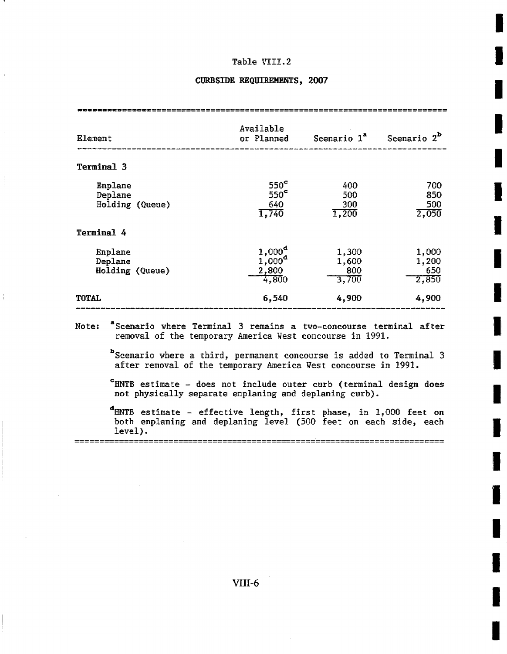**!** 

**I** 

**I** 

**I** 

**I** 

**I** 

**!** 

**I** 

**I** 

**I** 

**I** 

# **CURBSIDE REQUIREMENTS, 2007**

| Element                               | Available<br>or Planned                              | Scenario 1ª                    | Scenario $2^b$                 |
|---------------------------------------|------------------------------------------------------|--------------------------------|--------------------------------|
| Terminal 3                            |                                                      |                                |                                |
| Enplane<br>Deplane<br>Holding (Queue) | $550^{\circ}$<br>$550^{\circ}$<br>640<br>1,740       | 400<br>500<br>300<br>1,200     | 700<br>850<br>500<br>2,050     |
| Terminal 4                            |                                                      |                                |                                |
| Enplane<br>Deplane<br>Holding (Queue) | $1,000^{\rm d}$<br>$1,000^{\rm d}$<br>2,800<br>4,800 | 1,300<br>1,600<br>800<br>3,700 | 1,000<br>1,200<br>650<br>2,850 |
| <b>TOTAL</b>                          | 6,540                                                | 4,900                          | 4,900                          |

removal of the temporary America West concourse in 1991.

bScenario where a third, permanent concourse is added to Terminal 3 after removal of the temporary America West concourse in 1991.

=HNTB estimate - does not include outer curb (terminal design does not physically separate enplaning and deplaning curb).

HNTB estimate - effective length, first phase, in 1,000 feet on both enplaning and deplaning level (500 feet on each side, each level).

VIII-6

========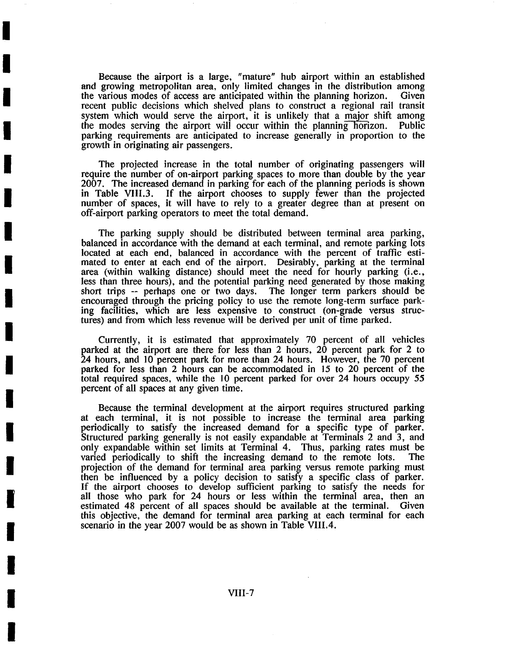Because the airport is a large, "mature" hub airport within an established and growing metropolitan area, only limited changes in the distribution among the various modes of access are anticipated within the planning horizon. Given recent public decisions which shelved plans to construct a regional rail transit system which would serve the airport, it is unlikely that a major shift among the modes serving the airport will occur within the planning horizon. Public parking requirements are anticipated to increase generally in proportion to the growth in originating air passengers.

**I** 

**I** 

**I** 

**I** 

**I** 

**I** 

**I** 

**I** 

**I** 

**I** 

**I** 

**I** 

**I** 

**I** 

**I** 

The projected increase in the total number of originating passengers will require the number of on-airport parking spaces to more than double by the year 2007. The increased demand in parking for each of the planning periods is shown in Table VIII.3. If the airport chooses to supply fewer than the projected If the airport chooses to supply fewer than the projected number of spaces, it will have to rely to a greater degree than at present on off-airport parking operators to meet the total demand.

The parking supply should be distributed between terminal area parking, balanced in accordance with the demand at each terminal, and remote parking lots located at each end, balanced in accordance with the percent of traffic estimated to enter at each end of the airport. Desirably, parking at the terminal area (within walking distance) should meet the need for hourly parking (i.e., less than three hours), and the potential parking need generated by those making short trips -- perhaps one or two days. The longer term parkers should be encouraged through the pricing policy to use the remote long-term surface parking facilities, which are less expensive to construct (on-grade versus structures) and from which less revenue will be derived per unit of time parked.

Currently, it is estimated that approximately 70 percent of all vehicles parked at the airport are there for less than 2 hours, 20 percent park for 2 to 24 hours, and 10 percent park for more than 24 hours. However, the 70 percent parked for less than 2 hours can be accommodated in 15 to 20 percent of the total required spaces, while the 10 percent parked for over 24 hours occupy 55 percent of all spaces at any given time.

Because the terminal development at the airport requires structured parking at each terminal, it is not possible to increase the terminal area parking periodically to satisfy the increased demand for a specific type of parker. Structured parking generally is not easily expandable at Terminals 2 and 3, and only expandable within set limits at Terminal 4. Thus, parking rates must be varied periodically to shift the increasing demand to the remote lots. The projection of the demand for terminal area parking versus remote parking must then be influenced by a policy decision to satisfy a specific class of parker. If the airport chooses to develop sufficient parking to satisfy the needs for all those who park for 24 hours or less within the terminal area, then an estimated 48 percent of all spaces should be available at the terminal. Given this objective, the demand for terminal area parking at each terminal for each scenario in the year 2007 would be as shown in Table VIII.4.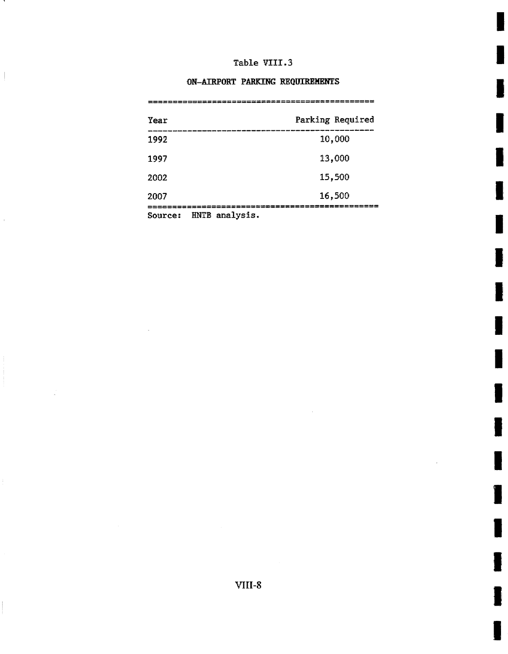m~

I

I

I

I

I

I

I

I

I

I

I

**1** 

i

I

I

I

# ON-AIRPORT PARKING REQUIREMENTS

| Year    |                                      | Parking Required |
|---------|--------------------------------------|------------------|
| 1992    |                                      | 10,000           |
| 1997    |                                      | 13,000           |
| 2002    |                                      | 15,500           |
| 2007    |                                      | 16,500           |
| Source: | ==================<br>HNTB analysis. |                  |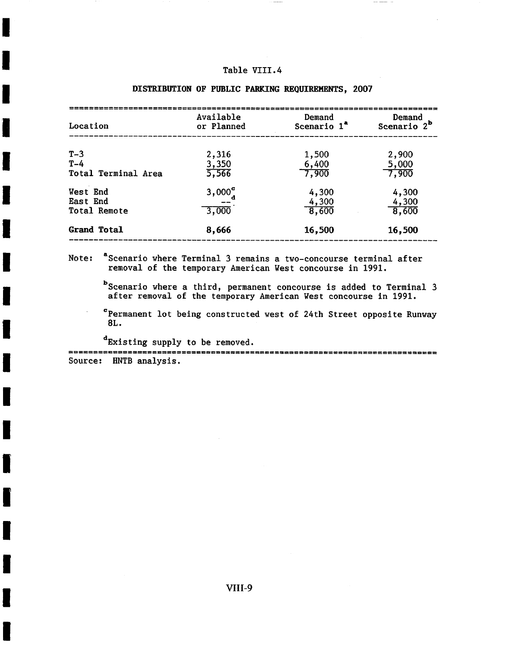| Location                                    | Available<br>or Planned                  | Demand<br>Scenario 1 <sup>"</sup>    | Demand<br>Scenario 2 <sup>b</sup> |
|---------------------------------------------|------------------------------------------|--------------------------------------|-----------------------------------|
| $T-3$<br>$T-4$<br>Total Terminal Area       | 2,316<br>3,350<br>5,566                  | 1,500<br>$\frac{6,400}{7,900}$       | 2,900<br>5,000<br>7,900           |
| West End<br>East End<br><b>Total Remote</b> | 3,000 <sub>a</sub> <sup>c</sup><br>3,000 | 4,300<br>4,300<br>$\overline{8,600}$ | 4,300<br>$\frac{4,300}{8,600}$    |
| <b>Grand Total</b>                          | 8,666                                    | 16,500                               | 16,500                            |

# DISTRIBUTION OF PUBLIC PARKING REQUIREMENTS, 2007

Note: "Scenario where Terminal 3 remains a two-concourse terminal after removal of the temporary American West concourse in 1991.

 $\overline{\phantom{x}}$  Scenario where a third, permanent concourse is added to Terminal  $3$ after removal of the temporary American West concourse in 1991.

CPermanent lot being constructed west of 24th Street opposite Runway 8L.

I

I

I

I

I

I

!

!

!

**1** 

**.** 

!

I

i

!

I

I

dExistlng supply to be removed. Abesserens Source: HNTB analysis.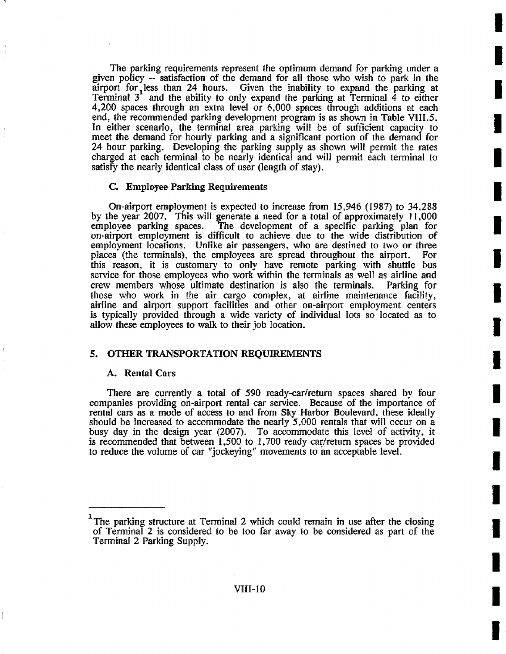The parking requirements represent the optimum demand for parking under a given policy -- satisfactiorm, of the demand for all those who wish to park in the airport for, less than 24 hours. Given the inability to expand the parking at Terminal  $3<sup>2</sup>$  and the ability to only expand the parking at Terminal 4 to either 4,200 spaces through an extra level or 6,000 spaces through additions at each end, the recommended parking development program is as shown in Table VIII.5. In either scenario, the terminal area parking will be of sufficient capacity to meet the demand for hourly parking and a significant portion of the demand for 24 hour parking. Developing the parking supply as shown will permit the rates charged at each terminal to be nearly identical and will permit each terminal to satisfy the nearly identical class of user (length of stay).

**I** 

**I** 

**I** 

I

**I** 

**I** 

**I** 

**I** 

**I** 

**I** 

**I** 

**I** 

**I** 

**I** 

**I** 

**I** 

**I** 

**I** 

# C. Employee Parking Requirements

On-airport employment is expected to increase from  $15,946$  (1987) to  $34,288$ by the year 2007. This will generate a need for a total of approximately 11,000 employee parking spaces. The development of a specific parking plan for The development of a specific parking plan for on-airport employment is difficult to achieve due to the wide distribution of employment locations. Unlike air passengers, who are destined to two or three places (the terminals), the employees are spread throughout the airport. For this reason, it is customary to only have remote parking with shuttle bus service for those employees who work within the terminals as well as airline and crew members whose ultimate destination is also the terminals. Parking for crew members whose ultimate destination is also the terminals. those who work in the air cargo complex, at airline maintenance facility, airline and airport support facilities and other on-airport employment centers is typically provided through a wide variety of individual lots so located as to allow these employees to walk to their job location.

## 5. OTHER TRANSPORTATION REQUIREMENTS

#### A. Rental Cars

There are currently a total of 590 ready-car/return spaces shared by four companies providing on-airport rental car service. Because of the importance of rental cars as a mode of access to and from Sky Harbor Boulevard, these ideally should be increased to accommodate the nearly  $5,000$  rentals that will occur on a busy day in the design year (2007). To accommodate this level of activity, it is recommended that between  $1,500$  to  $1,700$  ready car/return spaces be provided to reduce the volume of car "jockeying" movements to an acceptable level.

The parking structure at Terminal 2 which could remain in use after the closing of Terminal 2 is considered to be too far away to be considered as part of the Terminal 2 Parking Supply.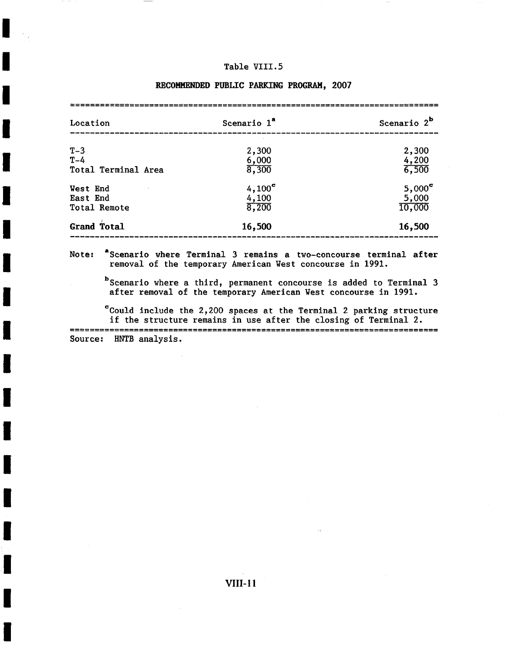**I** 

**I** 

**i** 

**I** 

**I** 

**I** 

**I** 

**i** 

**I** 

**!** 

**!** 

**!** 

**I** 

**i** 

**I** 

**I** 

**I** 

| Location                             | Scenario 1 <sup>ª</sup>           | Scenario $2^{\mathbf{b}}$        |  |
|--------------------------------------|-----------------------------------|----------------------------------|--|
| $T-3$<br>$T-4$                       | 2,300<br>6,000                    | 2,300<br>4,200                   |  |
| Total Terminal Area                  | 8,300                             | 6,500                            |  |
| West End<br>East End<br>Total Remote | $4,100^{\circ}$<br>4,100<br>8,200 | $5,000^\circ$<br>5,000<br>10,000 |  |
| <b>Grand Total</b>                   | 16,500                            | 16,500                           |  |

### RECOMMENDED PUBLIC PARKING PROGRAM, 2007

Note:  $s$ cenario where Terminal 3 remains a two-concourse terminal after removal of the temporary American West concourse in 1991.

bScenario where a third, permanent concourse is added to Terminal 3 after removal of the temporary American West concourse in 1991.

Source: HNTB analysis.  $\degree$ Could include the 2,200 spaces at the Terminal 2 parking structure if the structure remains in use after the closing of Terminal 2.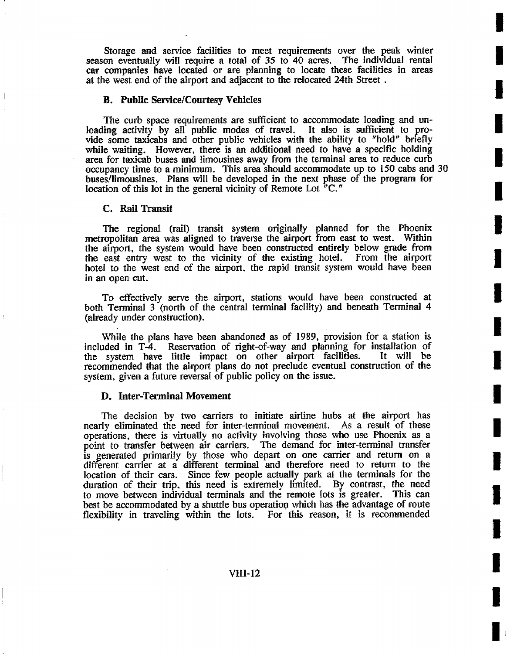Storage and service facifities to meet requirements over the peak winter season eventually will require a total of 35 to 40 acres. The individual rental car companies have located or are planning to locate these facilities in areas at the west end of the airport and adjacent to the relocated 24th Street.

**I** 

**I** 

**i** 

**I** 

**!** 

**!** 

**!** 

**I** 

**I** 

**I** 

**!** 

**!** 

**I** 

**I** 

**i** 

**I** 

**!** 

**I** 

#### **B. Public Service/Courtesy Vehicles**

The curb space requirements are sufficient to accommodate loading and unloading activity by all public modes of travel. It also is sufficient to provide some taxicabs and other public vehicles with the ability to "hold" briefly while waiting. However, there is an additional need to have a specific holding area for taxicab buses and limousines away from the terminal area to reduce curb occupancy time to a minimum. This area should accommodate up to 150 cabs and 30 buses/limousines. Plans will be developed in the next phase of the program for location of this lot in the general vicinity of Remote Lot "C."

#### **C. Rail Transit**

The regional (rail) transit system originally planned for the Phoenix metropolitan area was aligned to traverse the airport from east to west. Within the airport, the system would have been constructed entirely below grade from the east entry west to the vicinity of the existing hotel. From the airport hotel to the west end of the airport, the rapid transit system would have been in an open cut.

To effectively serve the airport, stations would have been constructed at both Terminal 3 (north of the central terminal facility) and beneath Terminal 4 (already under construction).

While the plans have been abandoned as of 1989, provision for a station is included in T-4. Reservation of right-of-way and planning for installation of the system have little impact on other airport facilities. recommended that the airport plans do not preclude eventual construction of the system, given a future reversal of public policy on the issue.

### D. Inter-Terminal Movement

The decision by two carriers to initiate airline hubs at the airport has nearly eliminated the need for inter-terminal movement. As a result of these operations, there is virtually no activity involving those who use Phoenix as a point to transfer between air carriers. The demand for inter-terminal transfer The demand for inter-terminal transfer is generated primarily by those who depart on one carrier and return on a different carrier at a different terminal and therefore need to return to the location of their cars. Since few people actually park at the terminals for the duration of their trip, this need is extremely limited. By contrast, the need to move between individual terminals and the remote lots is greater. This can best be accommodated by a shuttle bus operation which has the advantage of route flexibility in traveling within the lots. For this reason, it is recommended